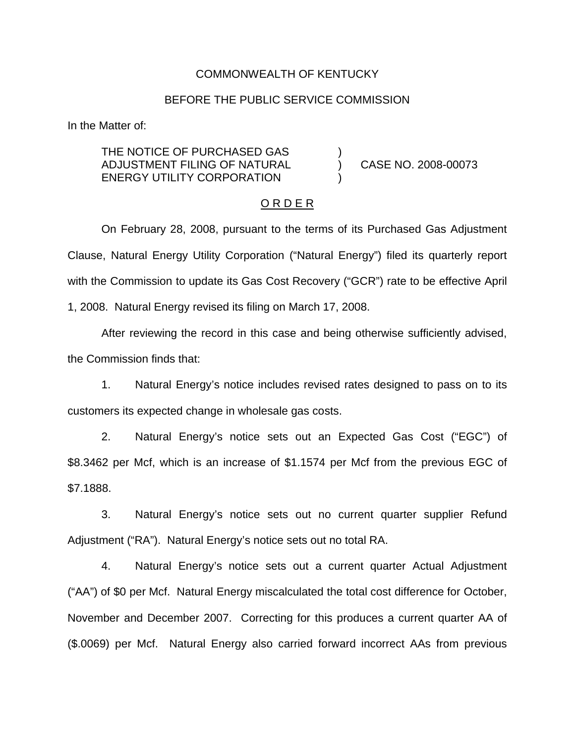#### COMMONWEALTH OF KENTUCKY

### BEFORE THE PUBLIC SERVICE COMMISSION

In the Matter of:

THE NOTICE OF PURCHASED GAS ADJUSTMENT FILING OF NATURAL ) CASE NO. 2008-00073 ENERGY UTILITY CORPORATION

#### O R D E R

On February 28, 2008, pursuant to the terms of its Purchased Gas Adjustment Clause, Natural Energy Utility Corporation ("Natural Energy") filed its quarterly report with the Commission to update its Gas Cost Recovery ("GCR") rate to be effective April 1, 2008. Natural Energy revised its filing on March 17, 2008.

After reviewing the record in this case and being otherwise sufficiently advised, the Commission finds that:

1. Natural Energy's notice includes revised rates designed to pass on to its customers its expected change in wholesale gas costs.

2. Natural Energy's notice sets out an Expected Gas Cost ("EGC") of \$8.3462 per Mcf, which is an increase of \$1.1574 per Mcf from the previous EGC of \$7.1888.

3. Natural Energy's notice sets out no current quarter supplier Refund Adjustment ("RA"). Natural Energy's notice sets out no total RA.

4. Natural Energy's notice sets out a current quarter Actual Adjustment ("AA") of \$0 per Mcf. Natural Energy miscalculated the total cost difference for October, November and December 2007. Correcting for this produces a current quarter AA of (\$.0069) per Mcf. Natural Energy also carried forward incorrect AAs from previous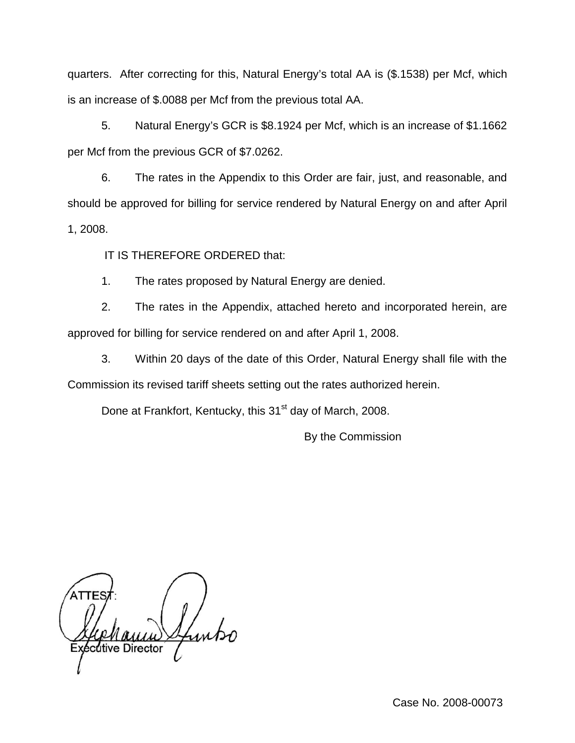quarters. After correcting for this, Natural Energy's total AA is (\$.1538) per Mcf, which is an increase of \$.0088 per Mcf from the previous total AA.

5. Natural Energy's GCR is \$8.1924 per Mcf, which is an increase of \$1.1662 per Mcf from the previous GCR of \$7.0262.

6. The rates in the Appendix to this Order are fair, just, and reasonable, and should be approved for billing for service rendered by Natural Energy on and after April 1, 2008.

IT IS THEREFORE ORDERED that:

1. The rates proposed by Natural Energy are denied.

2. The rates in the Appendix, attached hereto and incorporated herein, are approved for billing for service rendered on and after April 1, 2008.

3. Within 20 days of the date of this Order, Natural Energy shall file with the Commission its revised tariff sheets setting out the rates authorized herein.

Done at Frankfort, Kentucky, this 31<sup>st</sup> day of March, 2008.

By the Commission

utive Director